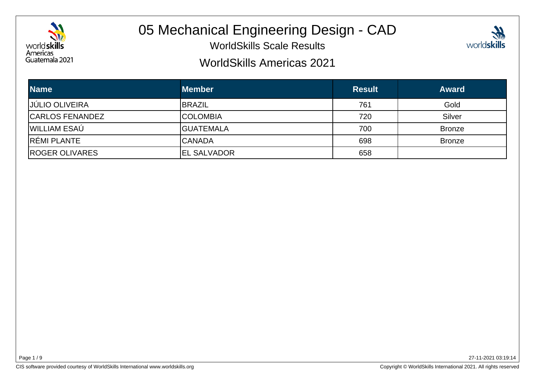

# 05 Mechanical Engineering Design - CAD

WorldSkills Scale Results



#### WorldSkills Americas 2021

| <b>Name</b>            | <b>Member</b>       | <b>Result</b> | <b>Award</b>  |
|------------------------|---------------------|---------------|---------------|
| <b>JÚLIO OLIVEIRA</b>  | <b>BRAZIL</b>       | 761           | Gold          |
| <b>CARLOS FENANDEZ</b> | <b>ICOLOMBIA</b>    | 720           | Silver        |
| WILLIAM ESAÚ           | <b>GUATEMALA</b>    | 700           | <b>Bronze</b> |
| RÉMI PLANTE            | <b>ICANADA</b>      | 698           | <b>Bronze</b> |
| <b>ROGER OLIVARES</b>  | <b>IEL SALVADOR</b> | 658           |               |

Page 1 / 9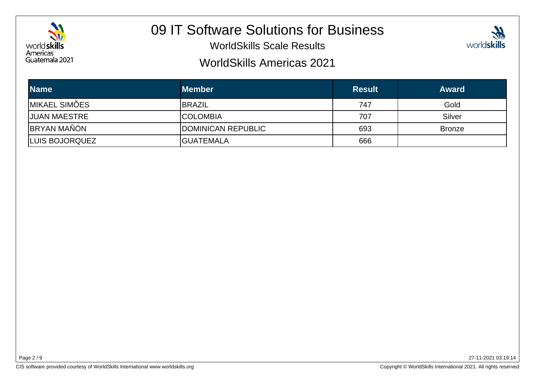

# 09 IT Software Solutions for Business

WorldSkills Scale Results



#### WorldSkills Americas 2021

| <b>Name</b>           | <b>Member</b>              | <b>Result</b> | <b>Award</b>  |
|-----------------------|----------------------------|---------------|---------------|
| <b>IMIKAEL SIMÕES</b> | <b>BRAZIL</b>              | 747           | Gold          |
| <b>JUAN MAESTRE</b>   | <b>ICOLOMBIA</b>           | 707           | Silver        |
| <b>BRYAN MAÑÓN</b>    | <b>IDOMINICAN REPUBLIC</b> | 693           | <b>Bronze</b> |
| LUIS BOJORQUEZ        | <b>IGUATEMALA</b>          | 666           |               |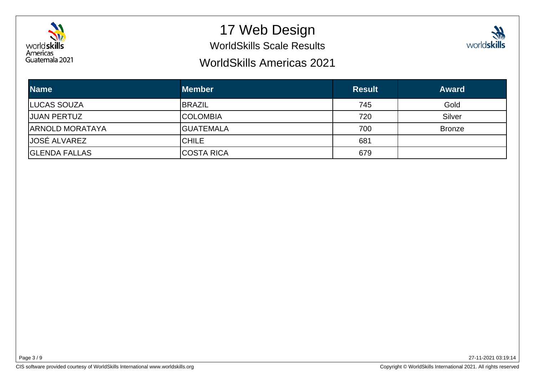

## 17 Web Design

WorldSkills Scale Results



#### WorldSkills Americas 2021

| <b>Name</b>            | <b>Member</b>     | <b>Result</b> | <b>Award</b>  |
|------------------------|-------------------|---------------|---------------|
| <b>LUCAS SOUZA</b>     | <b>BRAZIL</b>     | 745           | Gold          |
| <b>JUAN PERTUZ</b>     | <b>ICOLOMBIA</b>  | 720           | Silver        |
| <b>ARNOLD MORATAYA</b> | <b>GUATEMALA</b>  | 700           | <b>Bronze</b> |
| <b>JOSÉ ALVAREZ</b>    | ICHILE            | 681           |               |
| <b>GLENDA FALLAS</b>   | <b>COSTA RICA</b> | 679           |               |

Page 3 / 9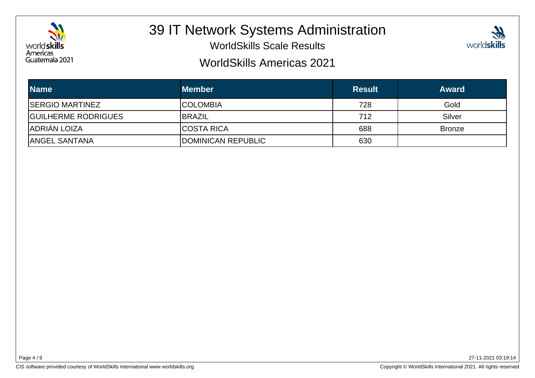

## 39 IT Network Systems Administration

WorldSkills Scale Results



#### WorldSkills Americas 2021

| <b>Name</b>                | <b>Member</b>      | <b>Result</b> | <b>Award</b>  |
|----------------------------|--------------------|---------------|---------------|
| <b>ISERGIO MARTINEZ</b>    | ICOLOMBIA          | 728           | Gold          |
| <b>GUILHERME RODRIGUES</b> | <b>IBRAZIL</b>     | 712           | Silver        |
| IADRIÁN LOIZA              | <b>ICOSTA RICA</b> | 688           | <b>Bronze</b> |
| <b>ANGEL SANTANA</b>       | DOMINICAN REPUBLIC | 630           |               |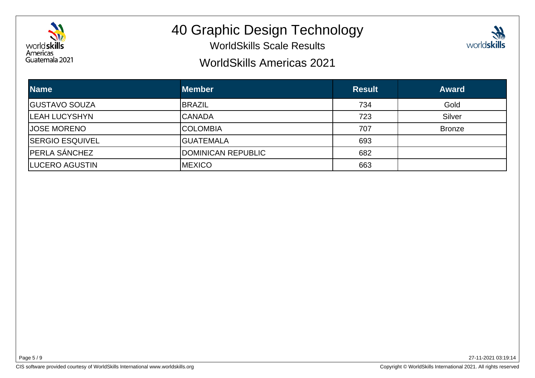

# 40 Graphic Design Technology

WorldSkills Scale Results

### WorldSkills Americas 2021

| <b>Name</b>            | <b>Member</b>      | <b>Result</b> | <b>Award</b>  |
|------------------------|--------------------|---------------|---------------|
| <b>GUSTAVO SOUZA</b>   | <b>BRAZIL</b>      | 734           | Gold          |
| <b>ILEAH LUCYSHYN</b>  | <b>CANADA</b>      | 723           | Silver        |
| <b>JOSE MORENO</b>     | <b>COLOMBIA</b>    | 707           | <b>Bronze</b> |
| <b>SERGIO ESQUIVEL</b> | IGUATEMALA         | 693           |               |
| <b>PERLA SÁNCHEZ</b>   | DOMINICAN REPUBLIC | 682           |               |
| LUCERO AGUSTIN         | <b>IMEXICO</b>     | 663           |               |

27-11-2021 03:19:14

worldskills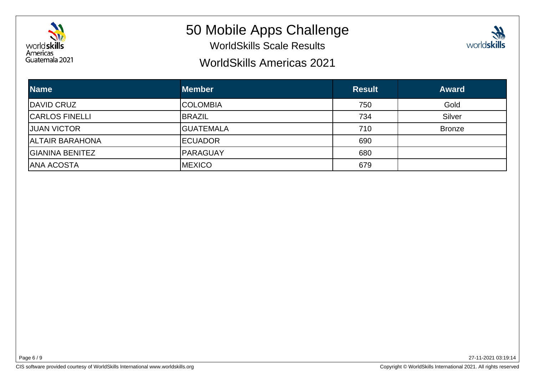

### 50 Mobile Apps Challenge

WorldSkills Scale Results

### WorldSkills Americas 2021



| <b>Name</b>            | <b>Member</b>    | <b>Result</b> | <b>Award</b>  |
|------------------------|------------------|---------------|---------------|
| <b>DAVID CRUZ</b>      | <b>ICOLOMBIA</b> | 750           | Gold          |
| <b>CARLOS FINELLI</b>  | <b>IBRAZIL</b>   | 734           | Silver        |
| <b>JUAN VICTOR</b>     | <b>GUATEMALA</b> | 710           | <b>Bronze</b> |
| <b>ALTAIR BARAHONA</b> | <b>IECUADOR</b>  | 690           |               |
| IGIANINA BENITEZ       | <b>PARAGUAY</b>  | 680           |               |
| IANA ACOSTA            | <b>MEXICO</b>    | 679           |               |

Page 6 / 9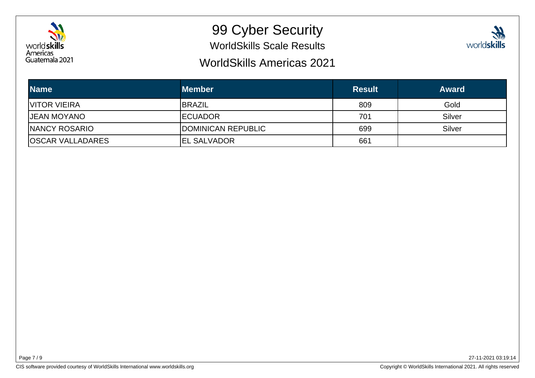

# 99 Cyber Security

WorldSkills Scale Results

### WorldSkills Americas 2021



| <b>Name</b>             | <b>Member</b>       | <b>Result</b> | <b>Award</b> |
|-------------------------|---------------------|---------------|--------------|
| <b>VITOR VIEIRA</b>     | <b>IBRAZIL</b>      | 809           | Gold         |
| <b>JEAN MOYANO</b>      | <b>IECUADOR</b>     | 701           | Silver       |
| <b>INANCY ROSARIO</b>   | DOMINICAN REPUBLIC  | 699           | Silver       |
| <b>OSCAR VALLADARES</b> | <b>IEL SALVADOR</b> | 661           |              |

Page 7 / 9

CIS software provided courtesy of WorldSkills International www.worldskills.org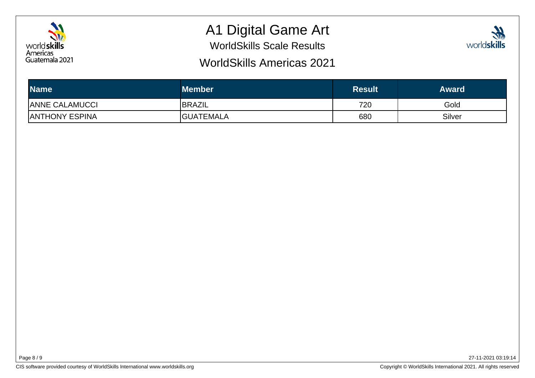

# A1 Digital Game Art

WorldSkills Scale Results

### WorldSkills Americas 2021



| <b>Name</b>           | <b>Member</b>     | <b>Result</b> | <b>Award</b> |
|-----------------------|-------------------|---------------|--------------|
| <b>ANNE CALAMUCCI</b> | <b>BRAZIL</b>     | 720           | Gold         |
| <b>ANTHONY ESPINA</b> | <b>IGUATEMALA</b> | 680           | Silver       |

Page 8 / 9

CIS software provided courtesy of WorldSkills International www.worldskills.org